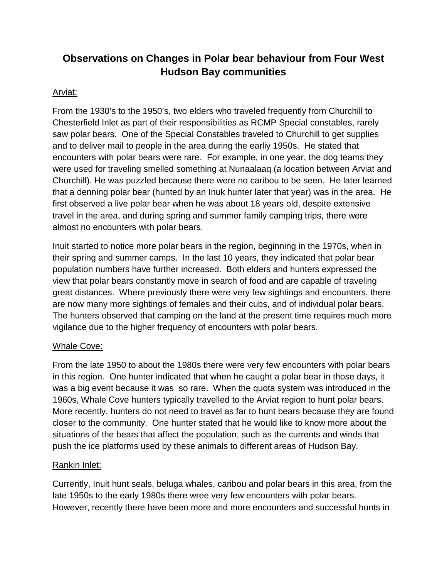# **Observations on Changes in Polar bear behaviour from Four West Hudson Bay communities**

## Arviat:

From the 1930's to the 1950's, two elders who traveled frequently from Churchill to Chesterfield Inlet as part of their responsibilities as RCMP Special constables, rarely saw polar bears. One of the Special Constables traveled to Churchill to get supplies and to deliver mail to people in the area during the earliy 1950s. He stated that encounters with polar bears were rare. For example, in one year, the dog teams they were used for traveling smelled something at Nunaalaaq (a location between Arviat and Churchill). He was puzzled because there were no caribou to be seen. He later learned that a denning polar bear (hunted by an Inuk hunter later that year) was in the area. He first observed a live polar bear when he was about 18 years old, despite extensive travel in the area, and during spring and summer family camping trips, there were almost no encounters with polar bears.

Inuit started to notice more polar bears in the region, beginning in the 1970s, when in their spring and summer camps. In the last 10 years, they indicated that polar bear population numbers have further increased. Both elders and hunters expressed the view that polar bears constantly move in search of food and are capable of traveling great distances. Where previously there were very few sightings and encounters, there are now many more sightings of females and their cubs, and of individual polar bears. The hunters observed that camping on the land at the present time requires much more vigilance due to the higher frequency of encounters with polar bears.

### Whale Cove:

From the late 1950 to about the 1980s there were very few encounters with polar bears in this region. One hunter indicated that when he caught a polar bear in those days, it was a big event because it was so rare. When the quota system was introduced in the 1960s, Whale Cove hunters typically travelled to the Arviat region to hunt polar bears. More recently, hunters do not need to travel as far to hunt bears because they are found closer to the community. One hunter stated that he would like to know more about the situations of the bears that affect the population, such as the currents and winds that push the ice platforms used by these animals to different areas of Hudson Bay.

### Rankin Inlet:

Currently, Inuit hunt seals, beluga whales, caribou and polar bears in this area, from the late 1950s to the early 1980s there wree very few encounters with polar bears. However, recently there have been more and more encounters and successful hunts in